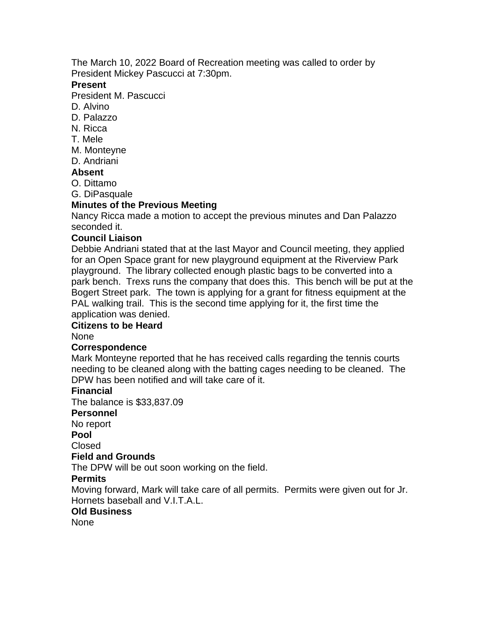The March 10, 2022 Board of Recreation meeting was called to order by President Mickey Pascucci at 7:30pm.

### **Present**

President M. Pascucci

- D. Alvino
- D. Palazzo
- N. Ricca
- T. Mele
- M. Monteyne
- D. Andriani

### **Absent**

- O. Dittamo
- G. DiPasquale

# **Minutes of the Previous Meeting**

Nancy Ricca made a motion to accept the previous minutes and Dan Palazzo seconded it.

### **Council Liaison**

Debbie Andriani stated that at the last Mayor and Council meeting, they applied for an Open Space grant for new playground equipment at the Riverview Park playground. The library collected enough plastic bags to be converted into a park bench. Trexs runs the company that does this. This bench will be put at the Bogert Street park. The town is applying for a grant for fitness equipment at the PAL walking trail. This is the second time applying for it, the first time the application was denied.

# **Citizens to be Heard**

None

# **Correspondence**

Mark Monteyne reported that he has received calls regarding the tennis courts needing to be cleaned along with the batting cages needing to be cleaned. The DPW has been notified and will take care of it.

# **Financial**

The balance is \$33,837.09

#### **Personnel**

No report

**Pool**

Closed

#### **Field and Grounds**

The DPW will be out soon working on the field.

# **Permits**

Moving forward, Mark will take care of all permits. Permits were given out for Jr. Hornets baseball and V.I.T.A.L.

### **Old Business**

None